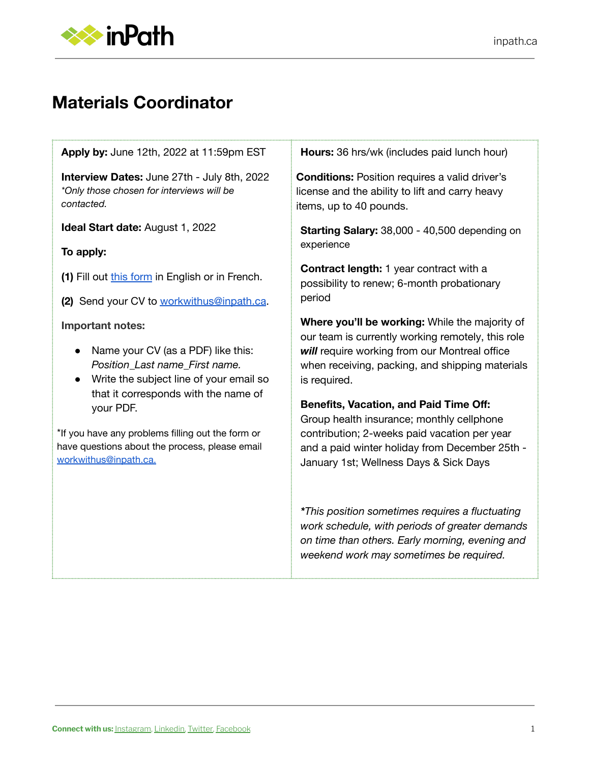

# **Materials Coordinator**

**Apply by:** June 12th, 2022 at 11:59pm EST

**Interview Dates:** June 27th - July 8th, 2022 *\*Only those chosen for interviews will be contacted.*

**Ideal Start date:** August 1, 2022

#### **To apply:**

**(1)** Fill out this [form](https://docs.google.com/forms/d/e/1FAIpQLSetcu-IpPHc7ZbPMDXIZeEgtqmUoUwoTRFEAPeG50zLpO7sgQ/viewform?usp=sf_link) in English or in French.

**(2)** Send your CV to [workwithus@inpath.ca](mailto:workwithus@inpath.ca).

**Important notes:**

- Name your CV (as a PDF) like this: *Position\_Last name\_First name.*
- Write the subject line of your email so that it corresponds with the name of your PDF.

\*If you have any problems filling out the form or have questions about the process, please email [workwithus@inpath.ca.](mailto:workwithus@inpath.ca)

**Hours:** 36 hrs/wk (includes paid lunch hour)

**Conditions:** Position requires a valid driver's license and the ability to lift and carry heavy items, up to 40 pounds.

**Starting Salary:** 38,000 - 40,500 depending on experience

**Contract length:** 1 year contract with a possibility to renew; 6-month probationary period

**Where you'll be working:** While the majority of our team is currently working remotely, this role *will* require working from our Montreal office when receiving, packing, and shipping materials is required.

#### **Benefits, Vacation, and Paid Time Off:**

Group health insurance; monthly cellphone contribution; 2-weeks paid vacation per year and a paid winter holiday from December 25th - January 1st; Wellness Days & Sick Days

*\*This position sometimes requires a fluctuating work schedule, with periods of greater demands on time than others. Early morning, evening and weekend work may sometimes be required.*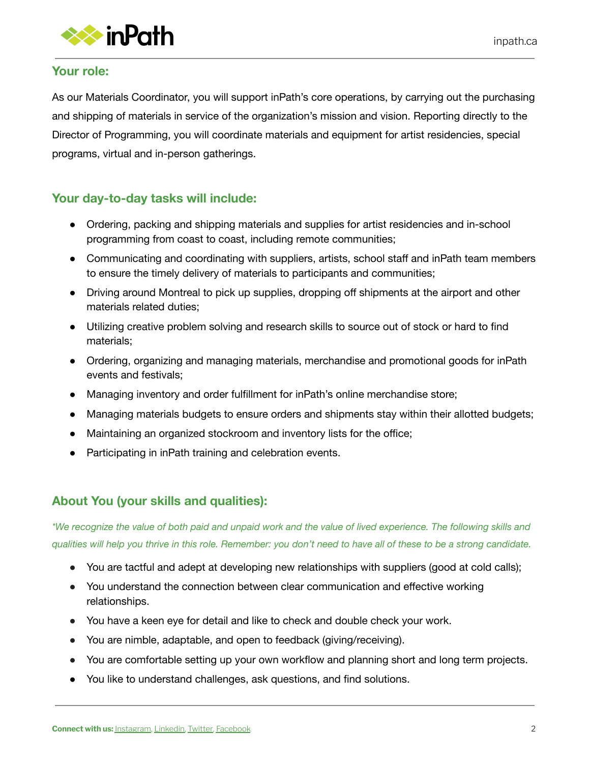

#### **Your role:**

As our Materials Coordinator, you will support inPath's core operations, by carrying out the purchasing and shipping of materials in service of the organization's mission and vision. Reporting directly to the Director of Programming, you will coordinate materials and equipment for artist residencies, special programs, virtual and in-person gatherings.

## **Your day-to-day tasks will include:**

- Ordering, packing and shipping materials and supplies for artist residencies and in-school programming from coast to coast, including remote communities;
- Communicating and coordinating with suppliers, artists, school staff and inPath team members to ensure the timely delivery of materials to participants and communities;
- Driving around Montreal to pick up supplies, dropping off shipments at the airport and other materials related duties;
- Utilizing creative problem solving and research skills to source out of stock or hard to find materials;
- Ordering, organizing and managing materials, merchandise and promotional goods for inPath events and festivals;
- Managing inventory and order fulfillment for inPath's online merchandise store;
- Managing materials budgets to ensure orders and shipments stay within their allotted budgets;
- Maintaining an organized stockroom and inventory lists for the office;
- Participating in inPath training and celebration events.

## **About You (your skills and qualities):**

\*We recognize the value of both paid and unpaid work and the value of lived experience. The following skills and qualities will help you thrive in this role. Remember: you don't need to have all of these to be a strong candidate.

- You are tactful and adept at developing new relationships with suppliers (good at cold calls);
- You understand the connection between clear communication and effective working relationships.
- You have a keen eye for detail and like to check and double check your work.
- You are nimble, adaptable, and open to feedback (giving/receiving).
- You are comfortable setting up your own workflow and planning short and long term projects.
- You like to understand challenges, ask questions, and find solutions.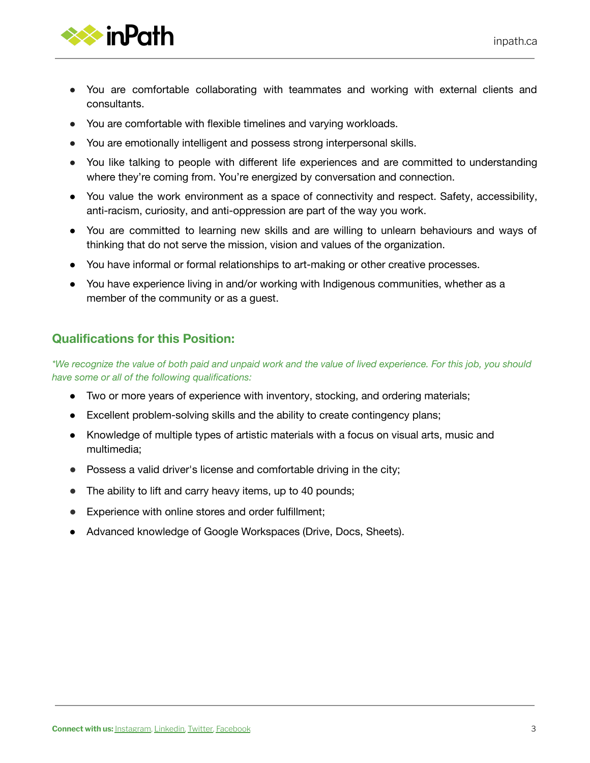

- You are comfortable collaborating with teammates and working with external clients and consultants.
- You are comfortable with flexible timelines and varying workloads.
- You are emotionally intelligent and possess strong interpersonal skills.
- You like talking to people with different life experiences and are committed to understanding where they're coming from. You're energized by conversation and connection.
- You value the work environment as a space of connectivity and respect. Safety, accessibility, anti-racism, curiosity, and anti-oppression are part of the way you work.
- You are committed to learning new skills and are willing to unlearn behaviours and ways of thinking that do not serve the mission, vision and values of the organization.
- You have informal or formal relationships to art-making or other creative processes.
- You have experience living in and/or working with Indigenous communities, whether as a member of the community or as a guest.

#### **Qualifications for this Position:**

\*We recognize the value of both paid and unpaid work and the value of lived experience. For this job, you should *have some or all of the following qualifications:*

- Two or more years of experience with inventory, stocking, and ordering materials;
- Excellent problem-solving skills and the ability to create contingency plans;
- Knowledge of multiple types of artistic materials with a focus on visual arts, music and multimedia;
- Possess a valid driver's license and comfortable driving in the city;
- The ability to lift and carry heavy items, up to 40 pounds;
- Experience with online stores and order fulfillment;
- Advanced knowledge of Google Workspaces (Drive, Docs, Sheets).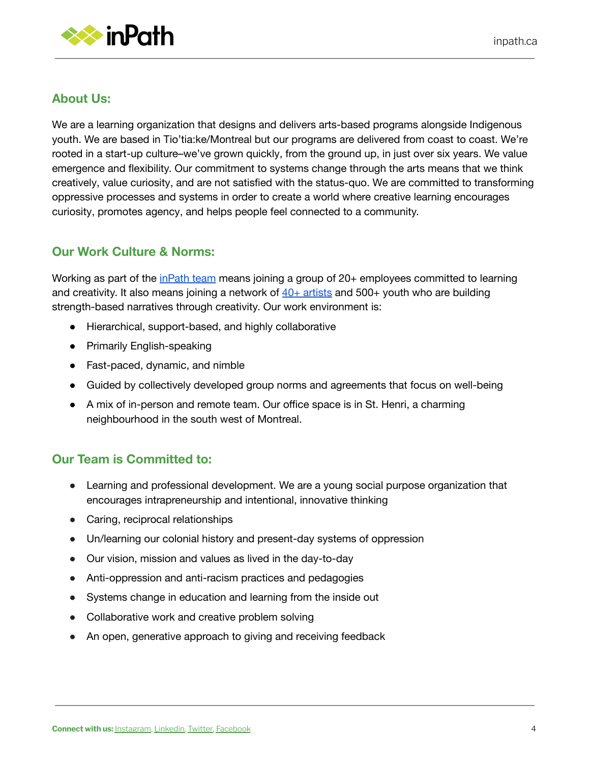

## **About Us:**

We are a learning organization that designs and delivers arts-based programs alongside Indigenous youth. We are based in Tio'tia:ke/Montreal but our programs are delivered from coast to coast. We're rooted in a start-up culture–we've grown quickly, from the ground up, in just over six years. We value emergence and flexibility. Our commitment to systems change through the arts means that we think creatively, value curiosity, and are not satisfied with the status-quo. We are committed to transforming oppressive processes and systems in order to create a world where creative learning encourages curiosity, promotes agency, and helps people feel connected to a community.

#### **Our Work Culture & Norms:**

Working as part of the [inPath](https://inpath.ca/about-us/who-we-are/) team means joining a group of 20+ employees committed to learning and creativity. It also means joining a network of  $40+$  [artists](https://inpath.ca/roster/) and 500+ youth who are building strength-based narratives through creativity. Our work environment is:

- Hierarchical, support-based, and highly collaborative
- Primarily English-speaking
- Fast-paced, dynamic, and nimble
- Guided by collectively developed group norms and agreements that focus on well-being
- A mix of in-person and remote team. Our office space is in St. Henri, a charming neighbourhood in the south west of Montreal.

## **Our Team is Committed to:**

- Learning and professional development. We are a young social purpose organization that encourages intrapreneurship and intentional, innovative thinking
- Caring, reciprocal relationships
- Un/learning our colonial history and present-day systems of oppression
- Our vision, mission and values as lived in the day-to-day
- Anti-oppression and anti-racism practices and pedagogies
- Systems change in education and learning from the inside out
- Collaborative work and creative problem solving
- An open, generative approach to giving and receiving feedback